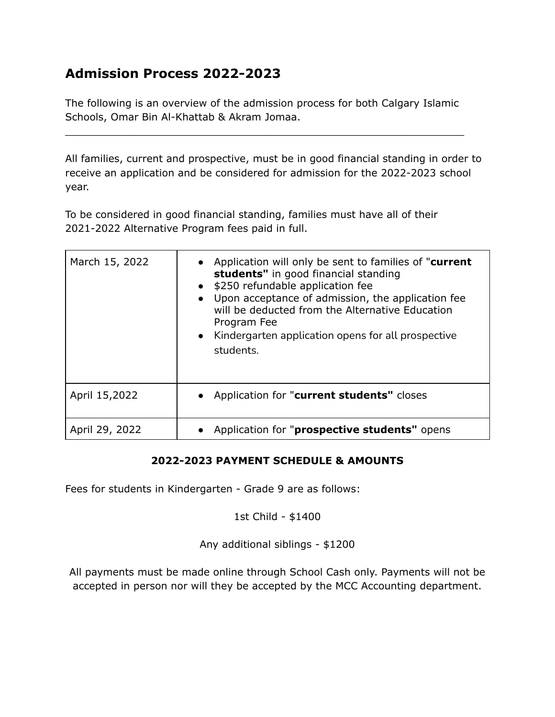## **Admission Process 2022-2023**

The following is an overview of the admission process for both Calgary Islamic Schools, Omar Bin Al-Khattab & Akram Jomaa.

 $\overline{\phantom{a}}$  , and the contribution of the contribution of the contribution of the contribution of the contribution of the contribution of the contribution of the contribution of the contribution of the contribution of the

All families, current and prospective, must be in good financial standing in order to receive an application and be considered for admission for the 2022-2023 school year.

To be considered in good financial standing, families must have all of their 2021-2022 Alternative Program fees paid in full.

| March 15, 2022 | • Application will only be sent to families of "current"<br>students" in good financial standing<br>\$250 refundable application fee<br>Upon acceptance of admission, the application fee<br>will be deducted from the Alternative Education<br>Program Fee<br>• Kindergarten application opens for all prospective<br>students. |
|----------------|----------------------------------------------------------------------------------------------------------------------------------------------------------------------------------------------------------------------------------------------------------------------------------------------------------------------------------|
| April 15,2022  | • Application for "current students" closes                                                                                                                                                                                                                                                                                      |
| April 29, 2022 | Application for " <b>prospective students</b> " opens                                                                                                                                                                                                                                                                            |

## **2022-2023 PAYMENT SCHEDULE & AMOUNTS**

Fees for students in Kindergarten - Grade 9 are as follows:

## 1st Child - \$1400

Any additional siblings - \$1200

All payments must be made online through School Cash only. Payments will not be accepted in person nor will they be accepted by the MCC Accounting department.